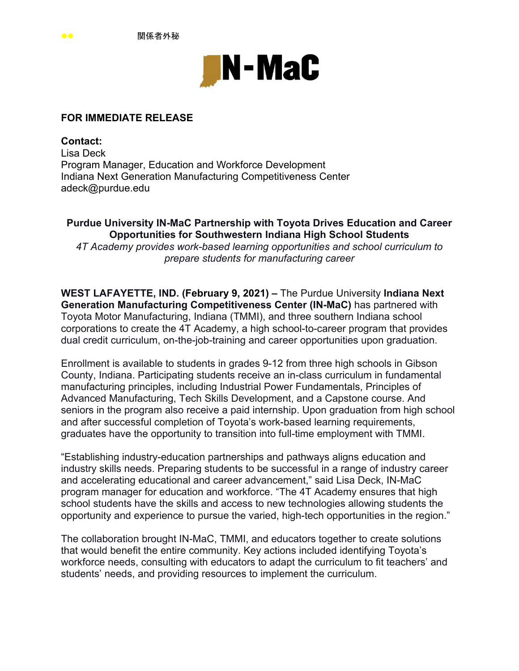

## **FOR IMMEDIATE RELEASE**

**Contact:**  Lisa Deck Program Manager, Education and Workforce Development Indiana Next Generation Manufacturing Competitiveness Center adeck@purdue.edu

**Purdue University IN-MaC Partnership with Toyota Drives Education and Career Opportunities for Southwestern Indiana High School Students**  *4T Academy provides work-based learning opportunities and school curriculum to prepare students for manufacturing career* 

**WEST LAFAYETTE, IND. (February 9, 2021) –** The Purdue University **Indiana Next Generation Manufacturing Competitiveness Center (IN-MaC)** has partnered with Toyota Motor Manufacturing, Indiana (TMMI), and three southern Indiana school corporations to create the 4T Academy, a high school-to-career program that provides dual credit curriculum, on-the-job-training and career opportunities upon graduation.

Enrollment is available to students in grades 9-12 from three high schools in Gibson County, Indiana. Participating students receive an in-class curriculum in fundamental manufacturing principles, including Industrial Power Fundamentals, Principles of Advanced Manufacturing, Tech Skills Development, and a Capstone course. And seniors in the program also receive a paid internship. Upon graduation from high school and after successful completion of Toyota's work-based learning requirements, graduates have the opportunity to transition into full-time employment with TMMI.

"Establishing industry-education partnerships and pathways aligns education and industry skills needs. Preparing students to be successful in a range of industry career and accelerating educational and career advancement," said Lisa Deck, IN-MaC program manager for education and workforce. "The 4T Academy ensures that high school students have the skills and access to new technologies allowing students the opportunity and experience to pursue the varied, high-tech opportunities in the region."

The collaboration brought IN-MaC, TMMI, and educators together to create solutions that would benefit the entire community. Key actions included identifying Toyota's workforce needs, consulting with educators to adapt the curriculum to fit teachers' and students' needs, and providing resources to implement the curriculum.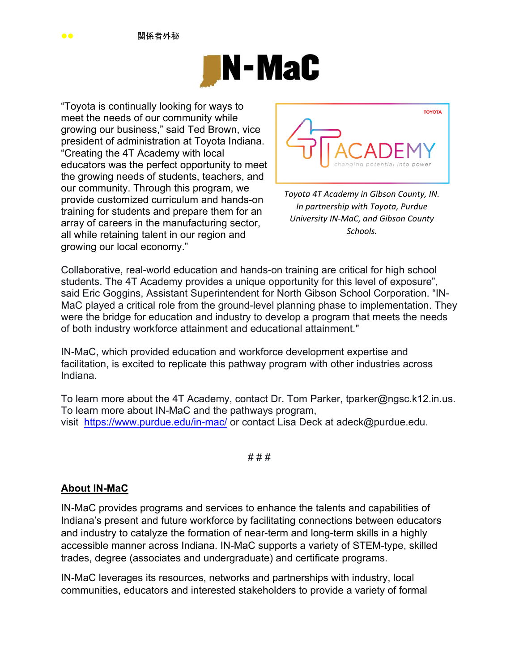

"Toyota is continually looking for ways to meet the needs of our community while growing our business," said Ted Brown, vice president of administration at Toyota Indiana. "Creating the 4T Academy with local educators was the perfect opportunity to meet the growing needs of students, teachers, and our community. Through this program, we provide customized curriculum and hands-on training for students and prepare them for an array of careers in the manufacturing sector, all while retaining talent in our region and growing our local economy."



*Toyota 4T Academy in Gibson County, IN. In partnership with Toyota, Purdue University IN‐MaC, and Gibson County Schools.*

Collaborative, real-world education and hands-on training are critical for high school students. The 4T Academy provides a unique opportunity for this level of exposure", said Eric Goggins, Assistant Superintendent for North Gibson School Corporation. "IN-MaC played a critical role from the ground-level planning phase to implementation. They were the bridge for education and industry to develop a program that meets the needs of both industry workforce attainment and educational attainment."

IN-MaC, which provided education and workforce development expertise and facilitation, is excited to replicate this pathway program with other industries across Indiana.

To learn more about the 4T Academy, contact Dr. Tom Parker, tparker@ngsc.k12.in.us. To learn more about IN-MaC and the pathways program, visit https://www.purdue.edu/in-mac/ or contact Lisa Deck at adeck@purdue.edu.

#### # # #

## **About IN-MaC**

IN-MaC provides programs and services to enhance the talents and capabilities of Indiana's present and future workforce by facilitating connections between educators and industry to catalyze the formation of near-term and long-term skills in a highly accessible manner across Indiana. IN-MaC supports a variety of STEM-type, skilled trades, degree (associates and undergraduate) and certificate programs.

IN-MaC leverages its resources, networks and partnerships with industry, local communities, educators and interested stakeholders to provide a variety of formal